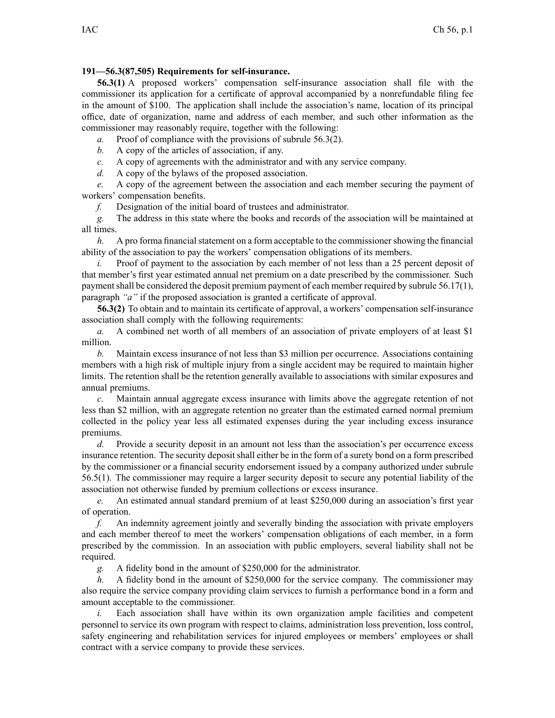## **191—56.3(87,505) Requirements for self-insurance.**

**56.3(1)** A proposed workers' compensation self-insurance association shall file with the commissioner its application for <sup>a</sup> certificate of approval accompanied by <sup>a</sup> nonrefundable filing fee in the amount of \$100. The application shall include the association's name, location of its principal office, date of organization, name and address of each member, and such other information as the commissioner may reasonably require, together with the following:

*a.* Proof of compliance with the provisions of subrule 56.3(2).

*b.* A copy of the articles of association, if any.

*c.* A copy of agreements with the administrator and with any service company.

*d.* A copy of the bylaws of the proposed association.

*e.* A copy of the agreemen<sup>t</sup> between the association and each member securing the paymen<sup>t</sup> of workers' compensation benefits.

*f.* Designation of the initial board of trustees and administrator.

*g.* The address in this state where the books and records of the association will be maintained at all times.

*h.* A pro forma financial statement on a form acceptable to the commissioner showing the financial ability of the association to pay the workers' compensation obligations of its members.

*i.* Proof of payment to the association by each member of not less than a 25 percent deposit of that member's first year estimated annual net premium on <sup>a</sup> date prescribed by the commissioner. Such payment shall be considered the deposit premium payment of each member required by subrule 56.17(1), paragraph *"a"* if the proposed association is granted <sup>a</sup> certificate of approval.

**56.3(2)** To obtain and to maintain its certificate of approval, <sup>a</sup> workers' compensation self-insurance association shall comply with the following requirements:

*a.* A combined net worth of all members of an association of private employers of at least \$1 million.

*b.* Maintain excess insurance of not less than \$3 million per occurrence. Associations containing members with <sup>a</sup> high risk of multiple injury from <sup>a</sup> single accident may be required to maintain higher limits. The retention shall be the retention generally available to associations with similar exposures and annual premiums.

*c.* Maintain annual aggregate excess insurance with limits above the aggregate retention of not less than \$2 million, with an aggregate retention no greater than the estimated earned normal premium collected in the policy year less all estimated expenses during the year including excess insurance premiums.

*d.* Provide <sup>a</sup> security deposit in an amount not less than the association's per occurrence excess insurance retention. The security deposit shall either be in the form of <sup>a</sup> surety bond on <sup>a</sup> form prescribed by the commissioner or <sup>a</sup> financial security endorsement issued by <sup>a</sup> company authorized under subrule 56.5(1). The commissioner may require <sup>a</sup> larger security deposit to secure any potential liability of the association not otherwise funded by premium collections or excess insurance.

*e.* An estimated annual standard premium of at least \$250,000 during an association's first year of operation.

*f.* An indemnity agreemen<sup>t</sup> jointly and severally binding the association with private employers and each member thereof to meet the workers' compensation obligations of each member, in <sup>a</sup> form prescribed by the commission. In an association with public employers, several liability shall not be required.

*g.* A fidelity bond in the amount of \$250,000 for the administrator.

*h.* A fidelity bond in the amount of \$250,000 for the service company. The commissioner may also require the service company providing claim services to furnish <sup>a</sup> performance bond in <sup>a</sup> form and amount acceptable to the commissioner.

*i.* Each association shall have within its own organization ample facilities and competent personnel to service its own program with respec<sup>t</sup> to claims, administration loss prevention, loss control, safety engineering and rehabilitation services for injured employees or members' employees or shall contract with <sup>a</sup> service company to provide these services.